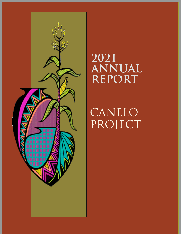

# **2021 ANNUAL REPORT**

CANELO PROJECT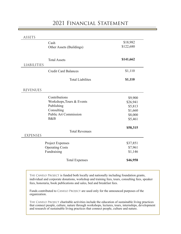# 2021 Financial Statement

ASSETS

| Cash                                     | \$18,982  |
|------------------------------------------|-----------|
| Other Assets (Buildings)                 | \$122,680 |
| <b>Total Assets</b>                      | \$141,662 |
| <b>LIABILITIES</b>                       |           |
| <b>Credit Card Balances</b>              | \$1,110   |
| <b>Total Liabilites</b>                  | \$1,110   |
| <b>REVENUES</b>                          |           |
| Contributions                            | \$9,900   |
| Workshops, Tours & Events                | \$26,941  |
| Publishing                               | \$5,813   |
| Consulting                               | \$1,660   |
| <b>Public Art Commission</b>             | \$8,000   |
| B&B                                      | \$5,461   |
|                                          | \$58,315  |
| <b>Total Revenues</b><br><b>EXPENSES</b> |           |
| Project Expenses                         | \$37,851  |
| <b>Operating Costs</b>                   | \$7,961   |
| Fundraising                              | \$1,146   |
| <b>Total Expenses</b>                    | \$46,958  |

THE CANELO PROJECT is funded both locally and nationally including foundation grants, individual and corporate donations, workshop and training fees, tours, consulting fees, speaker fees, honoraria, book publications and sales, bed and breakfast fees.

Funds contributed to CANELO PROJECT are used only for the announced purposes of the organization.

THE CANELO PROJECT charitable activities include the education of sustainable living practices that connect people, culture, nature through workshops, lectures, tours, internships, development and research of sustainable living practices that connect people, culture and nature.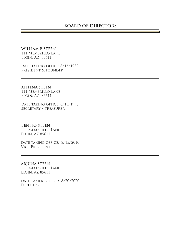## **WILLIAM B STEEN** 111 Membrillo Lane

Elgin, AZ 85611

DATE TAKING OFFICE: 8/15/1989 president & founder

#### **ATHENA STEEN**

111 Membrillo Lane Elgin, AZ 85611

date taking office: 8/15/1990 secretary / treasurer

#### **BENITO STEEN**

111 Membrillo Lane Elgin, AZ 85611

DATE TAKING OFFICE: 8/15/2010 Vice-President

### **ARJUNA STEEN**

111 Membrillo Lane Elgin, AZ 85611

date taking office: 8/20/2020 **DIRECTOR**